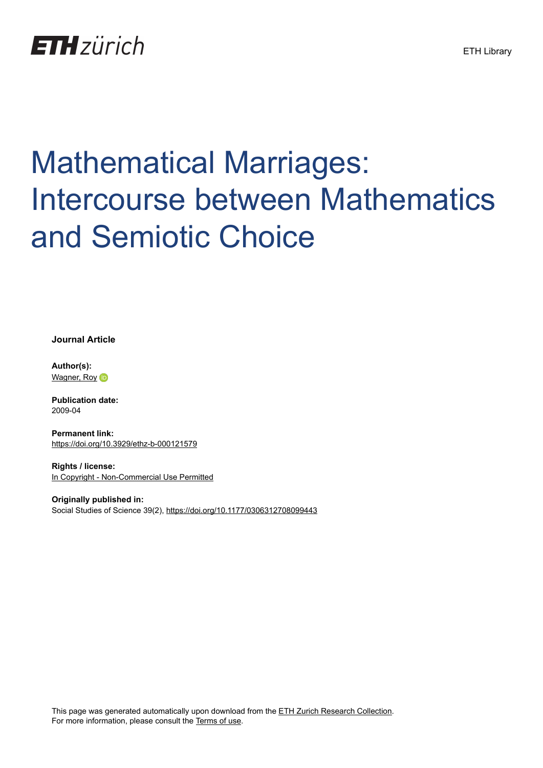

# Mathematical Marriages: Intercourse between Mathematics and Semiotic Choice

**Journal Article**

**Author(s):** [Wagner, Roy](https://orcid.org/0000-0002-7775-0542)<sup>o</sup>

**Publication date:** 2009-04

**Permanent link:** <https://doi.org/10.3929/ethz-b-000121579>

**Rights / license:** [In Copyright - Non-Commercial Use Permitted](http://rightsstatements.org/page/InC-NC/1.0/)

**Originally published in:** Social Studies of Science 39(2),<https://doi.org/10.1177/0306312708099443>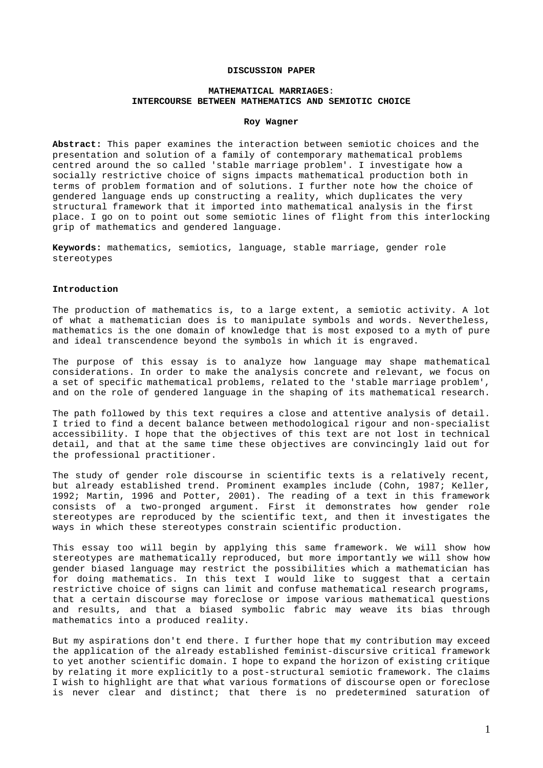## **DISCUSSION PAPER**

# **MATHEMATICAL MARRIAGES**: **INTERCOURSE BETWEEN MATHEMATICS AND SEMIOTIC CHOICE**

### **Roy Wagner**

**Abstract:** This paper examines the interaction between semiotic choices and the presentation and solution of a family of contemporary mathematical problems centred around the so called 'stable marriage problem'. I investigate how a socially restrictive choice of signs impacts mathematical production both in terms of problem formation and of solutions. I further note how the choice of gendered language ends up constructing a reality, which duplicates the very structural framework that it imported into mathematical analysis in the first place. I go on to point out some semiotic lines of flight from this interlocking grip of mathematics and gendered language.

**Keywords:** mathematics, semiotics, language, stable marriage, gender role stereotypes

## **Introduction**

The production of mathematics is, to a large extent, a semiotic activity. A lot of what a mathematician does is to manipulate symbols and words. Nevertheless, mathematics is the one domain of knowledge that is most exposed to a myth of pure and ideal transcendence beyond the symbols in which it is engraved.

The purpose of this essay is to analyze how language may shape mathematical considerations. In order to make the analysis concrete and relevant, we focus on a set of specific mathematical problems, related to the 'stable marriage problem', and on the role of gendered language in the shaping of its mathematical research.

The path followed by this text requires a close and attentive analysis of detail. I tried to find a decent balance between methodological rigour and non-specialist accessibility. I hope that the objectives of this text are not lost in technical detail, and that at the same time these objectives are convincingly laid out for the professional practitioner.

The study of gender role discourse in scientific texts is a relatively recent, but already established trend. Prominent examples include (Cohn, 1987; Keller, 1992; Martin, 1996 and Potter, 2001). The reading of a text in this framework consists of a two-pronged argument. First it demonstrates how gender role stereotypes are reproduced by the scientific text, and then it investigates the ways in which these stereotypes constrain scientific production.

This essay too will begin by applying this same framework. We will show how stereotypes are mathematically reproduced, but more importantly we will show how gender biased language may restrict the possibilities which a mathematician has for doing mathematics. In this text I would like to suggest that a certain restrictive choice of signs can limit and confuse mathematical research programs, that a certain discourse may foreclose or impose various mathematical questions and results, and that a biased symbolic fabric may weave its bias through mathematics into a produced reality.

But my aspirations don't end there. I further hope that my contribution may exceed the application of the already established feminist-discursive critical framework to yet another scientific domain. I hope to expand the horizon of existing critique by relating it more explicitly to a post-structural semiotic framework. The claims I wish to highlight are that what various formations of discourse open or foreclose is never clear and distinct; that there is no predetermined saturation of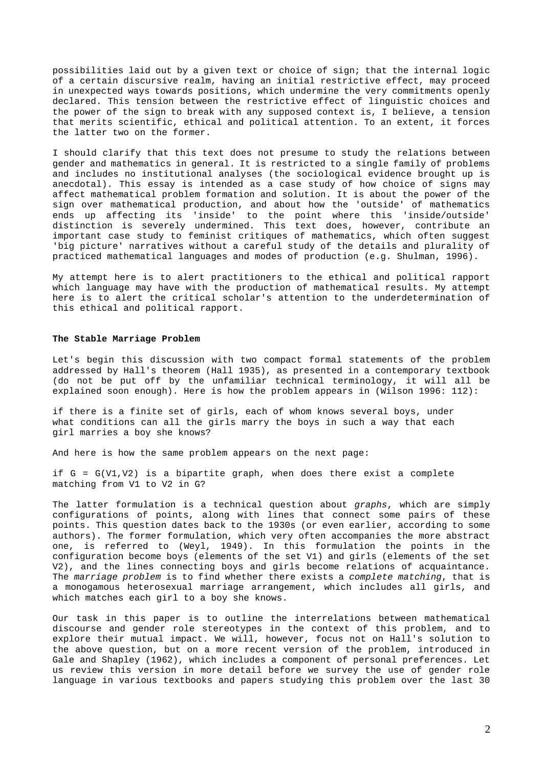possibilities laid out by a given text or choice of sign; that the internal logic of a certain discursive realm, having an initial restrictive effect, may proceed in unexpected ways towards positions, which undermine the very commitments openly declared. This tension between the restrictive effect of linguistic choices and the power of the sign to break with any supposed context is, I believe, a tension that merits scientific, ethical and political attention. To an extent, it forces the latter two on the former.

I should clarify that this text does not presume to study the relations between gender and mathematics in general. It is restricted to a single family of problems and includes no institutional analyses (the sociological evidence brought up is anecdotal). This essay is intended as a case study of how choice of signs may affect mathematical problem formation and solution. It is about the power of the sign over mathematical production, and about how the 'outside' of mathematics ends up affecting its 'inside' to the point where this 'inside/outside' distinction is severely undermined. This text does, however, contribute an important case study to feminist critiques of mathematics, which often suggest 'big picture' narratives without a careful study of the details and plurality of practiced mathematical languages and modes of production (e.g. Shulman, 1996).

My attempt here is to alert practitioners to the ethical and political rapport which language may have with the production of mathematical results. My attempt here is to alert the critical scholar's attention to the underdetermination of this ethical and political rapport.

## **The Stable Marriage Problem**

Let's begin this discussion with two compact formal statements of the problem addressed by Hall's theorem (Hall 1935), as presented in a contemporary textbook (do not be put off by the unfamiliar technical terminology, it will all be explained soon enough). Here is how the problem appears in (Wilson 1996: 112):

if there is a finite set of girls, each of whom knows several boys, under what conditions can all the girls marry the boys in such a way that each girl marries a boy she knows?

And here is how the same problem appears on the next page:

if  $G = G(V1,V2)$  is a bipartite graph, when does there exist a complete matching from V1 to V2 in G?

The latter formulation is a technical question about *graphs*, which are simply configurations of points, along with lines that connect some pairs of these points. This question dates back to the 1930s (or even earlier, according to some authors). The former formulation, which very often accompanies the more abstract one, is referred to (Weyl, 1949). In this formulation the points in the configuration become boys (elements of the set V1) and girls (elements of the set V2), and the lines connecting boys and girls become relations of acquaintance. The *marriage problem* is to find whether there exists a *complete matching*, that is a monogamous heterosexual marriage arrangement, which includes all girls, and which matches each girl to a boy she knows.

Our task in this paper is to outline the interrelations between mathematical discourse and gender role stereotypes in the context of this problem, and to explore their mutual impact. We will, however, focus not on Hall's solution to the above question, but on a more recent version of the problem, introduced in Gale and Shapley (1962), which includes a component of personal preferences. Let us review this version in more detail before we survey the use of gender role language in various textbooks and papers studying this problem over the last 30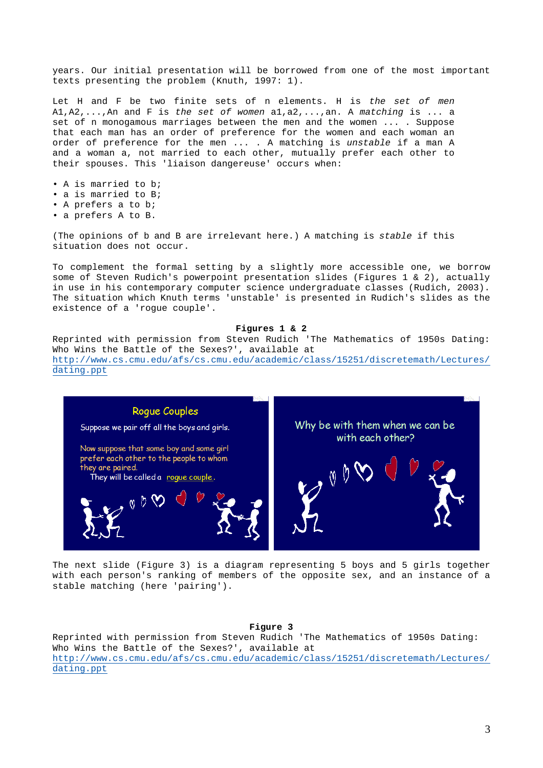years. Our initial presentation will be borrowed from one of the most important texts presenting the problem (Knuth, 1997: 1).

Let H and F be two finite sets of n elements. H is *the set of men* A1,A2,...,An and F is *the set of women* a1,a2,...,an. A *matching* is ... a set of n monogamous marriages between the men and the women ... . Suppose that each man has an order of preference for the women and each woman an order of preference for the men ... . A matching is *unstable* if a man A and a woman a, not married to each other, mutually prefer each other to their spouses. This 'liaison dangereuse' occurs when:

- A is married to b;
- a is married to B;
- A prefers a to b;
- a prefers A to B.

(The opinions of b and B are irrelevant here.) A matching is *stable* if this situation does not occur.

To complement the formal setting by a slightly more accessible one, we borrow some of Steven Rudich's powerpoint presentation slides (Figures 1 & 2), actually in use in his contemporary computer science undergraduate classes (Rudich, 2003). The situation which Knuth terms 'unstable' is presented in Rudich's slides as the existence of a 'rogue couple'.

## **Figures 1 & 2**

Reprinted with permission from Steven Rudich 'The Mathematics of 1950s Dating: Who Wins the Battle of the Sexes?', available at [http://www.cs.cmu.edu/afs/cs.cmu.edu/academic/class/15251/discretemath/Lectures/](http://www.cs.cmu.edu/afs/cs.cmu.edu/academic/class/15251/discretemath/Lectures/dating.ppt) [dating.ppt](http://www.cs.cmu.edu/afs/cs.cmu.edu/academic/class/15251/discretemath/Lectures/dating.ppt)



The next slide (Figure 3) is a diagram representing 5 boys and 5 girls together with each person's ranking of members of the opposite sex, and an instance of a stable matching (here 'pairing').

# **Figure 3**

Reprinted with permission from Steven Rudich 'The Mathematics of 1950s Dating: Who Wins the Battle of the Sexes?', available at [http://www.cs.cmu.edu/afs/cs.cmu.edu/academic/class/15251/discretemath/Lectures/](http://www.cs.cmu.edu/afs/cs.cmu.edu/academic/class/15251/discretemath/Lectures/dating.ppt) [dating.ppt](http://www.cs.cmu.edu/afs/cs.cmu.edu/academic/class/15251/discretemath/Lectures/dating.ppt)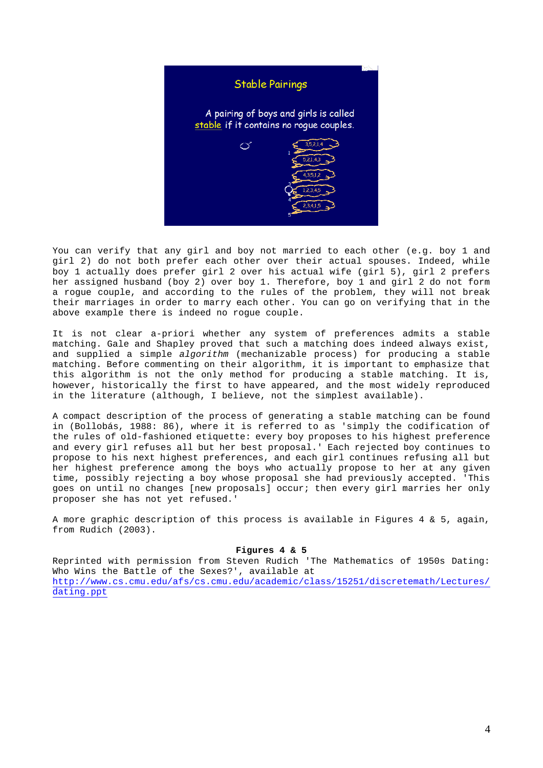

You can verify that any girl and boy not married to each other (e.g. boy 1 and girl 2) do not both prefer each other over their actual spouses. Indeed, while boy 1 actually does prefer girl 2 over his actual wife (girl 5), girl 2 prefers her assigned husband (boy 2) over boy 1. Therefore, boy 1 and girl 2 do not form a rogue couple, and according to the rules of the problem, they will not break their marriages in order to marry each other. You can go on verifying that in the above example there is indeed no rogue couple.

It is not clear a-priori whether any system of preferences admits a stable matching. Gale and Shapley proved that such a matching does indeed always exist, and supplied a simple *algorithm* (mechanizable process) for producing a stable matching. Before commenting on their algorithm, it is important to emphasize that this algorithm is not the only method for producing a stable matching. It is, however, historically the first to have appeared, and the most widely reproduced in the literature (although, I believe, not the simplest available).

A compact description of the process of generating a stable matching can be found in (Bollobás, 1988: 86), where it is referred to as 'simply the codification of the rules of old-fashioned etiquette: every boy proposes to his highest preference and every girl refuses all but her best proposal.' Each rejected boy continues to propose to his next highest preferences, and each girl continues refusing all but her highest preference among the boys who actually propose to her at any given time, possibly rejecting a boy whose proposal she had previously accepted. 'This goes on until no changes [new proposals] occur; then every girl marries her only proposer she has not yet refused.'

A more graphic description of this process is available in Figures 4 & 5, again, from Rudich (2003).

# **Figures 4 & 5**

Reprinted with permission from Steven Rudich 'The Mathematics of 1950s Dating: Who Wins the Battle of the Sexes?', available at [http://www.cs.cmu.edu/afs/cs.cmu.edu/academic/class/15251/discretemath/Lectures/](http://www.cs.cmu.edu/afs/cs.cmu.edu/academic/class/15251/discretemath/Lectures/dating.ppt) [dating.ppt](http://www.cs.cmu.edu/afs/cs.cmu.edu/academic/class/15251/discretemath/Lectures/dating.ppt)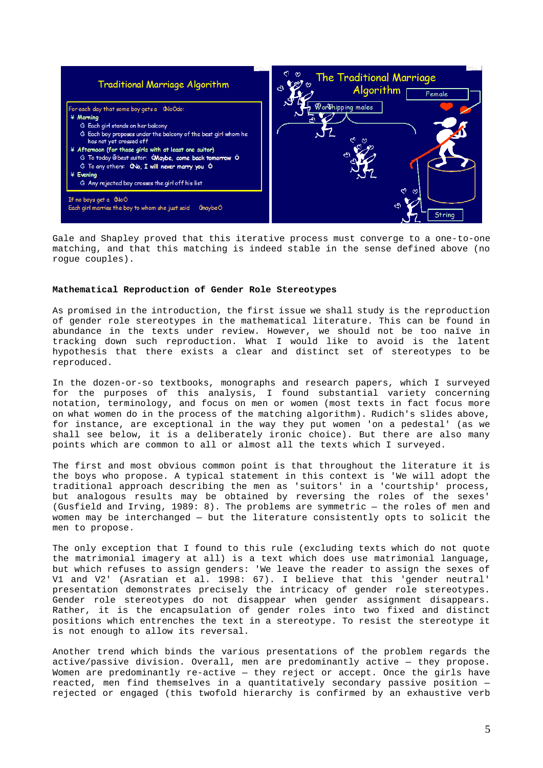

Gale and Shapley proved that this iterative process must converge to a one-to-one matching, and that this matching is indeed stable in the sense defined above (no rogue couples).

## **Mathematical Reproduction of Gender Role Stereotypes**

As promised in the introduction, the first issue we shall study is the reproduction of gender role stereotypes in the mathematical literature. This can be found in abundance in the texts under review. However, we should not be too naïve in tracking down such reproduction. What I would like to avoid is the latent hypothesis that there exists a clear and distinct set of stereotypes to be reproduced.

In the dozen-or-so textbooks, monographs and research papers, which I surveyed for the purposes of this analysis, I found substantial variety concerning notation, terminology, and focus on men or women (most texts in fact focus more on what women do in the process of the matching algorithm). Rudich's slides above, for instance, are exceptional in the way they put women 'on a pedestal' (as we shall see below, it is a deliberately ironic choice). But there are also many points which are common to all or almost all the texts which I surveyed.

The first and most obvious common point is that throughout the literature it is the boys who propose. A typical statement in this context is 'We will adopt the traditional approach describing the men as 'suitors' in a 'courtship' process, but analogous results may be obtained by reversing the roles of the sexes' (Gusfield and Irving, 1989: 8). The problems are symmetric — the roles of men and women may be interchanged — but the literature consistently opts to solicit the men to propose.

The only exception that I found to this rule (excluding texts which do not quote the matrimonial imagery at all) is a text which does use matrimonial language, but which refuses to assign genders: 'We leave the reader to assign the sexes of V1 and V2' (Asratian et al. 1998: 67). I believe that this 'gender neutral' presentation demonstrates precisely the intricacy of gender role stereotypes. Gender role stereotypes do not disappear when gender assignment disappears. Rather, it is the encapsulation of gender roles into two fixed and distinct positions which entrenches the text in a stereotype. To resist the stereotype it is not enough to allow its reversal.

Another trend which binds the various presentations of the problem regards the active/passive division. Overall, men are predominantly active — they propose. Women are predominantly re-active — they reject or accept. Once the girls have reacted, men find themselves in a quantitatively secondary passive position rejected or engaged (this twofold hierarchy is confirmed by an exhaustive verb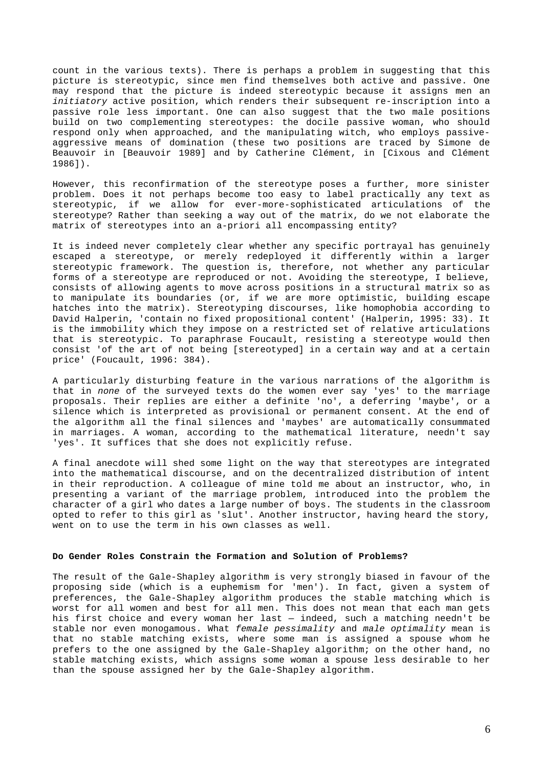count in the various texts). There is perhaps a problem in suggesting that this picture is stereotypic, since men find themselves both active and passive. One may respond that the picture is indeed stereotypic because it assigns men an *initiatory* active position, which renders their subsequent re-inscription into a passive role less important. One can also suggest that the two male positions build on two complementing stereotypes: the docile passive woman, who should respond only when approached, and the manipulating witch, who employs passiveaggressive means of domination (these two positions are traced by Simone de Beauvoir in [Beauvoir 1989] and by Catherine Clément, in [Cixous and Clément 1986]).

However, this reconfirmation of the stereotype poses a further, more sinister problem. Does it not perhaps become too easy to label practically any text as stereotypic, if we allow for ever-more-sophisticated articulations of the stereotype? Rather than seeking a way out of the matrix, do we not elaborate the matrix of stereotypes into an a-priori all encompassing entity?

It is indeed never completely clear whether any specific portrayal has genuinely escaped a stereotype, or merely redeployed it differently within a larger stereotypic framework. The question is, therefore, not whether any particular forms of a stereotype are reproduced or not. Avoiding the stereotype, I believe, consists of allowing agents to move across positions in a structural matrix so as to manipulate its boundaries (or, if we are more optimistic, building escape hatches into the matrix). Stereotyping discourses, like homophobia according to David Halperin, 'contain no fixed propositional content' (Halperin, 1995: 33). It is the immobility which they impose on a restricted set of relative articulations that is stereotypic. To paraphrase Foucault, resisting a stereotype would then consist 'of the art of not being [stereotyped] in a certain way and at a certain price' (Foucault, 1996: 384).

A particularly disturbing feature in the various narrations of the algorithm is that in *none* of the surveyed texts do the women ever say 'yes' to the marriage proposals. Their replies are either a definite 'no', a deferring 'maybe', or a silence which is interpreted as provisional or permanent consent. At the end of the algorithm all the final silences and 'maybes' are automatically consummated in marriages. A woman, according to the mathematical literature, needn't say 'yes'. It suffices that she does not explicitly refuse.

A final anecdote will shed some light on the way that stereotypes are integrated into the mathematical discourse, and on the decentralized distribution of intent in their reproduction. A colleague of mine told me about an instructor, who, in presenting a variant of the marriage problem, introduced into the problem the character of a girl who dates a large number of boys. The students in the classroom opted to refer to this girl as 'slut'. Another instructor, having heard the story, went on to use the term in his own classes as well.

# **Do Gender Roles Constrain the Formation and Solution of Problems?**

The result of the Gale-Shapley algorithm is very strongly biased in favour of the proposing side (which is a euphemism for 'men'). In fact, given a system of preferences, the Gale-Shapley algorithm produces the stable matching which is worst for all women and best for all men. This does not mean that each man gets his first choice and every woman her last — indeed, such a matching needn't be stable nor even monogamous. What *female pessimality* and *male optimality* mean is that no stable matching exists, where some man is assigned a spouse whom he prefers to the one assigned by the Gale-Shapley algorithm; on the other hand, no stable matching exists, which assigns some woman a spouse less desirable to her than the spouse assigned her by the Gale-Shapley algorithm.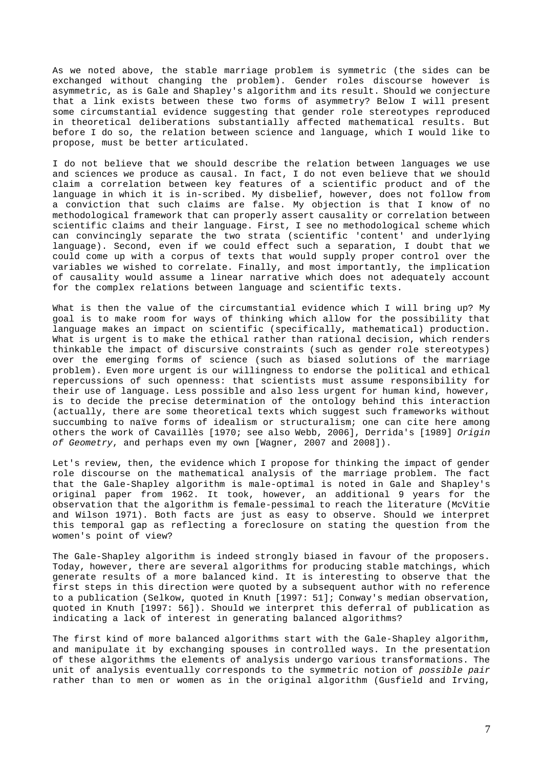As we noted above, the stable marriage problem is symmetric (the sides can be exchanged without changing the problem). Gender roles discourse however is asymmetric, as is Gale and Shapley's algorithm and its result. Should we conjecture that a link exists between these two forms of asymmetry? Below I will present some circumstantial evidence suggesting that gender role stereotypes reproduced in theoretical deliberations substantially affected mathematical results. But before I do so, the relation between science and language, which I would like to propose, must be better articulated.

I do not believe that we should describe the relation between languages we use and sciences we produce as causal. In fact, I do not even believe that we should claim a correlation between key features of a scientific product and of the language in which it is in-scribed. My disbelief, however, does not follow from a conviction that such claims are false. My objection is that I know of no methodological framework that can properly assert causality or correlation between scientific claims and their language. First, I see no methodological scheme which can convincingly separate the two strata (scientific 'content' and underlying language). Second, even if we could effect such a separation, I doubt that we could come up with a corpus of texts that would supply proper control over the variables we wished to correlate. Finally, and most importantly, the implication of causality would assume a linear narrative which does not adequately account for the complex relations between language and scientific texts.

What is then the value of the circumstantial evidence which I will bring up? My goal is to make room for ways of thinking which allow for the possibility that language makes an impact on scientific (specifically, mathematical) production. What is urgent is to make the ethical rather than rational decision, which renders thinkable the impact of discursive constraints (such as gender role stereotypes) over the emerging forms of science (such as biased solutions of the marriage problem). Even more urgent is our willingness to endorse the political and ethical repercussions of such openness: that scientists must assume responsibility for their use of language. Less possible and also less urgent for human kind, however, is to decide the precise determination of the ontology behind this interaction (actually, there are some theoretical texts which suggest such frameworks without succumbing to naïve forms of idealism or structuralism; one can cite here among others the work of Cavaillès [1970; see also Webb, 2006], Derrida's [1989] *Origin of Geometry*, and perhaps even my own [Wagner, 2007 and 2008]).

Let's review, then, the evidence which I propose for thinking the impact of gender role discourse on the mathematical analysis of the marriage problem. The fact that the Gale-Shapley algorithm is male-optimal is noted in Gale and Shapley's original paper from 1962. It took, however, an additional 9 years for the observation that the algorithm is female-pessimal to reach the literature (McVitie and Wilson 1971). Both facts are just as easy to observe. Should we interpret this temporal gap as reflecting a foreclosure on stating the question from the women's point of view?

The Gale-Shapley algorithm is indeed strongly biased in favour of the proposers. Today, however, there are several algorithms for producing stable matchings, which generate results of a more balanced kind. It is interesting to observe that the first steps in this direction were quoted by a subsequent author with no reference to a publication (Selkow, quoted in Knuth [1997: 51]; Conway's median observation, quoted in Knuth [1997: 56]). Should we interpret this deferral of publication as indicating a lack of interest in generating balanced algorithms?

The first kind of more balanced algorithms start with the Gale-Shapley algorithm, and manipulate it by exchanging spouses in controlled ways. In the presentation of these algorithms the elements of analysis undergo various transformations. The unit of analysis eventually corresponds to the symmetric notion of *possible pair* rather than to men or women as in the original algorithm (Gusfield and Irving,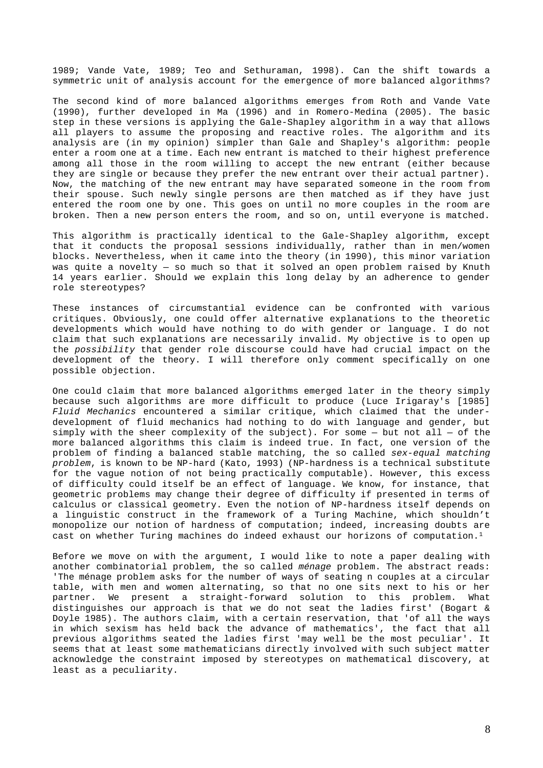1989; Vande Vate, 1989; Teo and Sethuraman, 1998). Can the shift towards a symmetric unit of analysis account for the emergence of more balanced algorithms?

The second kind of more balanced algorithms emerges from Roth and Vande Vate (1990), further developed in Ma (1996) and in Romero-Medina (2005). The basic step in these versions is applying the Gale-Shapley algorithm in a way that allows all players to assume the proposing and reactive roles. The algorithm and its analysis are (in my opinion) simpler than Gale and Shapley's algorithm: people enter a room one at a time. Each new entrant is matched to their highest preference among all those in the room willing to accept the new entrant (either because they are single or because they prefer the new entrant over their actual partner). Now, the matching of the new entrant may have separated someone in the room from their spouse. Such newly single persons are then matched as if they have just entered the room one by one. This goes on until no more couples in the room are broken. Then a new person enters the room, and so on, until everyone is matched.

This algorithm is practically identical to the Gale-Shapley algorithm, except that it conducts the proposal sessions individually, rather than in men/women blocks. Nevertheless, when it came into the theory (in 1990), this minor variation was quite a novelty — so much so that it solved an open problem raised by Knuth 14 years earlier. Should we explain this long delay by an adherence to gender role stereotypes?

These instances of circumstantial evidence can be confronted with various critiques. Obviously, one could offer alternative explanations to the theoretic developments which would have nothing to do with gender or language. I do not claim that such explanations are necessarily invalid. My objective is to open up the *possibility* that gender role discourse could have had crucial impact on the development of the theory. I will therefore only comment specifically on one possible objection.

One could claim that more balanced algorithms emerged later in the theory simply because such algorithms are more difficult to produce (Luce Irigaray's [1985] *Fluid Mechanics* encountered a similar critique, which claimed that the underdevelopment of fluid mechanics had nothing to do with language and gender, but simply with the sheer complexity of the subject). For some  $-$  but not all  $-$  of the more balanced algorithms this claim is indeed true. In fact, one version of the problem of finding a balanced stable matching, the so called *sex-equal matching problem*, is known to be NP-hard (Kato, 1993) (NP-hardness is a technical substitute for the vague notion of not being practically computable). However, this excess of difficulty could itself be an effect of language. We know, for instance, that geometric problems may change their degree of difficulty if presented in terms of calculus or classical geometry. Even the notion of NP-hardness itself depends on a linguistic construct in the framework of a Turing Machine, which shouldn't monopolize our notion of hardness of computation; indeed, increasing doubts are cast on whether Turing machines do indeed exhaust our horizons of computation.1

Before we move on with the argument, I would like to note a paper dealing with another combinatorial problem, the so called *ménage* problem. The abstract reads: 'The ménage problem asks for the number of ways of seating n couples at a circular table, with men and women alternating, so that no one sits next to his or her partner. We present a straight-forward solution to this problem. What distinguishes our approach is that we do not seat the ladies first' (Bogart & Doyle 1985). The authors claim, with a certain reservation, that 'of all the ways in which sexism has held back the advance of mathematics', the fact that all previous algorithms seated the ladies first 'may well be the most peculiar'. It seems that at least some mathematicians directly involved with such subject matter acknowledge the constraint imposed by stereotypes on mathematical discovery, at least as a peculiarity.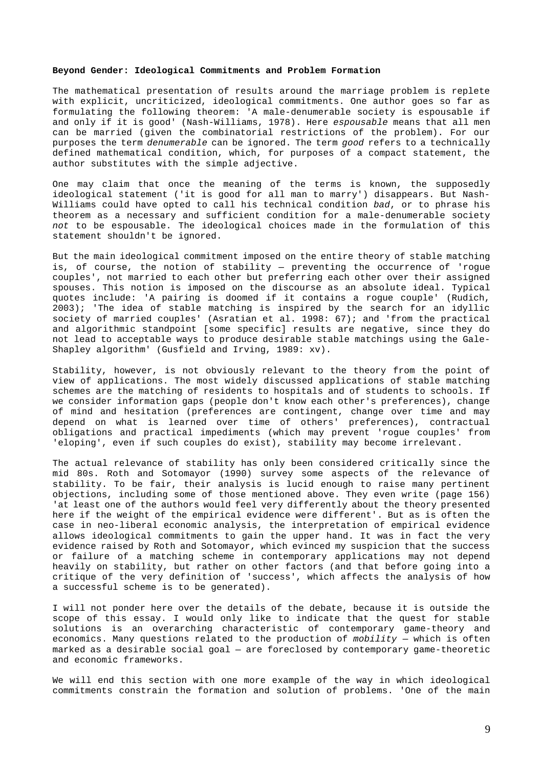## **Beyond Gender: Ideological Commitments and Problem Formation**

The mathematical presentation of results around the marriage problem is replete with explicit, uncriticized, ideological commitments. One author goes so far as formulating the following theorem: 'A male-denumerable society is espousable if and only if it is good' (Nash-Williams, 1978). Here *espousable* means that all men can be married (given the combinatorial restrictions of the problem). For our purposes the term *denumerable* can be ignored. The term *good* refers to a technically defined mathematical condition, which, for purposes of a compact statement, the author substitutes with the simple adjective.

One may claim that once the meaning of the terms is known, the supposedly ideological statement ('it is good for all man to marry') disappears. But Nash-Williams could have opted to call his technical condition *bad*, or to phrase his theorem as a necessary and sufficient condition for a male-denumerable society *not* to be espousable. The ideological choices made in the formulation of this statement shouldn't be ignored.

But the main ideological commitment imposed on the entire theory of stable matching is, of course, the notion of stability — preventing the occurrence of 'rogue couples', not married to each other but preferring each other over their assigned spouses. This notion is imposed on the discourse as an absolute ideal. Typical quotes include: 'A pairing is doomed if it contains a rogue couple' (Rudich, 2003); 'The idea of stable matching is inspired by the search for an idyllic society of married couples' (Asratian et al. 1998: 67); and 'from the practical and algorithmic standpoint [some specific] results are negative, since they do not lead to acceptable ways to produce desirable stable matchings using the Gale-Shapley algorithm' (Gusfield and Irving, 1989: xv).

Stability, however, is not obviously relevant to the theory from the point of view of applications. The most widely discussed applications of stable matching schemes are the matching of residents to hospitals and of students to schools. If we consider information gaps (people don't know each other's preferences), change of mind and hesitation (preferences are contingent, change over time and may depend on what is learned over time of others' preferences), contractual obligations and practical impediments (which may prevent 'rogue couples' from 'eloping', even if such couples do exist), stability may become irrelevant.

The actual relevance of stability has only been considered critically since the mid 80s. Roth and Sotomayor (1990) survey some aspects of the relevance of stability. To be fair, their analysis is lucid enough to raise many pertinent objections, including some of those mentioned above. They even write (page 156) 'at least one of the authors would feel very differently about the theory presented here if the weight of the empirical evidence were different'. But as is often the case in neo-liberal economic analysis, the interpretation of empirical evidence allows ideological commitments to gain the upper hand. It was in fact the very evidence raised by Roth and Sotomayor, which evinced my suspicion that the success or failure of a matching scheme in contemporary applications may not depend heavily on stability, but rather on other factors (and that before going into a critique of the very definition of 'success', which affects the analysis of how a successful scheme is to be generated).

I will not ponder here over the details of the debate, because it is outside the scope of this essay. I would only like to indicate that the quest for stable solutions is an overarching characteristic of contemporary game-theory and economics. Many questions related to the production of *mobility* — which is often marked as a desirable social goal — are foreclosed by contemporary game-theoretic and economic frameworks.

We will end this section with one more example of the way in which ideological commitments constrain the formation and solution of problems. 'One of the main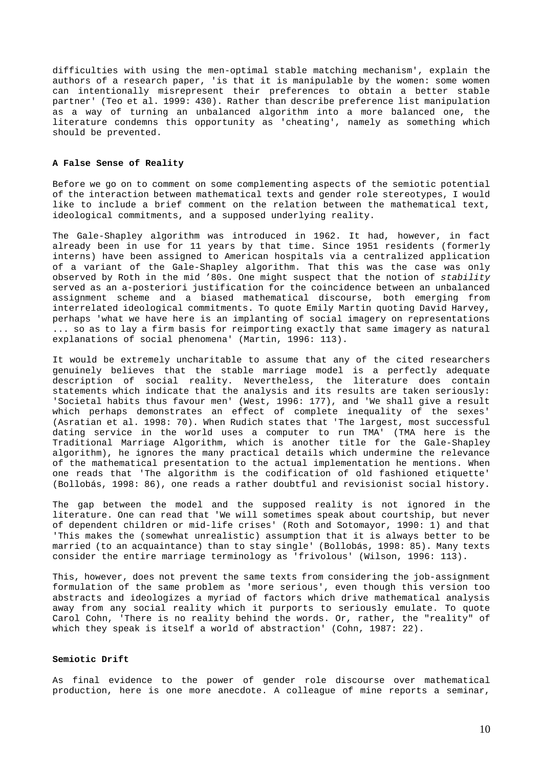difficulties with using the men-optimal stable matching mechanism', explain the authors of a research paper, 'is that it is manipulable by the women: some women can intentionally misrepresent their preferences to obtain a better stable partner' (Teo et al. 1999: 430). Rather than describe preference list manipulation as a way of turning an unbalanced algorithm into a more balanced one, the literature condemns this opportunity as 'cheating', namely as something which should be prevented.

## **A False Sense of Reality**

Before we go on to comment on some complementing aspects of the semiotic potential of the interaction between mathematical texts and gender role stereotypes, I would like to include a brief comment on the relation between the mathematical text, ideological commitments, and a supposed underlying reality.

The Gale-Shapley algorithm was introduced in 1962. It had, however, in fact already been in use for 11 years by that time. Since 1951 residents (formerly interns) have been assigned to American hospitals via a centralized application of a variant of the Gale-Shapley algorithm. That this was the case was only observed by Roth in the mid '80s. One might suspect that the notion of *stability* served as an a-posteriori justification for the coincidence between an unbalanced assignment scheme and a biased mathematical discourse, both emerging from interrelated ideological commitments. To quote Emily Martin quoting David Harvey, perhaps 'what we have here is an implanting of social imagery on representations ... so as to lay a firm basis for reimporting exactly that same imagery as natural explanations of social phenomena' (Martin, 1996: 113).

It would be extremely uncharitable to assume that any of the cited researchers genuinely believes that the stable marriage model is a perfectly adequate description of social reality. Nevertheless, the literature does contain statements which indicate that the analysis and its results are taken seriously: 'Societal habits thus favour men' (West, 1996: 177), and 'We shall give a result which perhaps demonstrates an effect of complete inequality of the sexes' (Asratian et al. 1998: 70). When Rudich states that 'The largest, most successful dating service in the world uses a computer to run TMA' (TMA here is the Traditional Marriage Algorithm, which is another title for the Gale-Shapley algorithm), he ignores the many practical details which undermine the relevance of the mathematical presentation to the actual implementation he mentions. When one reads that 'The algorithm is the codification of old fashioned etiquette' (Bollobás, 1998: 86), one reads a rather doubtful and revisionist social history.

The gap between the model and the supposed reality is not ignored in the literature. One can read that 'We will sometimes speak about courtship, but never of dependent children or mid-life crises' (Roth and Sotomayor, 1990: 1) and that 'This makes the (somewhat unrealistic) assumption that it is always better to be married (to an acquaintance) than to stay single' (Bollobás, 1998: 85). Many texts consider the entire marriage terminology as 'frivolous' (Wilson, 1996: 113).

This, however, does not prevent the same texts from considering the job-assignment formulation of the same problem as 'more serious', even though this version too abstracts and ideologizes a myriad of factors which drive mathematical analysis away from any social reality which it purports to seriously emulate. To quote Carol Cohn, 'There is no reality behind the words. Or, rather, the "reality" of which they speak is itself a world of abstraction' (Cohn, 1987: 22).

### **Semiotic Drift**

As final evidence to the power of gender role discourse over mathematical production, here is one more anecdote. A colleague of mine reports a seminar,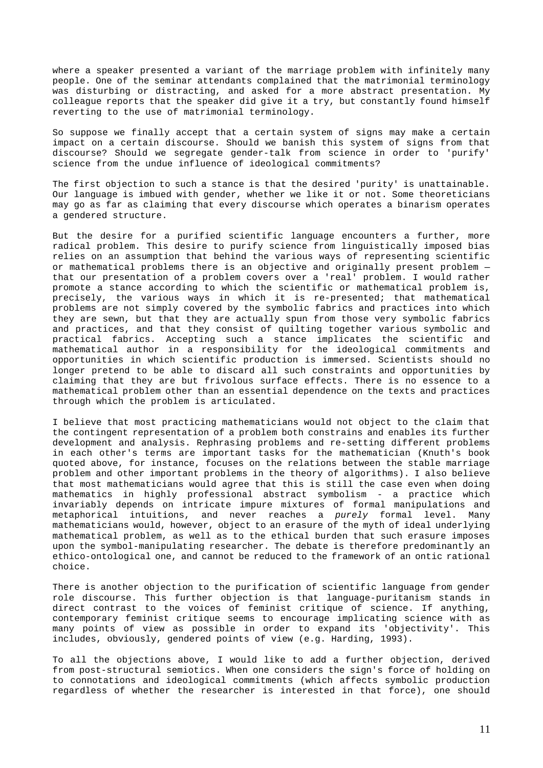where a speaker presented a variant of the marriage problem with infinitely many people. One of the seminar attendants complained that the matrimonial terminology was disturbing or distracting, and asked for a more abstract presentation. My colleague reports that the speaker did give it a try, but constantly found himself reverting to the use of matrimonial terminology.

So suppose we finally accept that a certain system of signs may make a certain impact on a certain discourse. Should we banish this system of signs from that discourse? Should we segregate gender-talk from science in order to 'purify' science from the undue influence of ideological commitments?

The first objection to such a stance is that the desired 'purity' is unattainable. Our language is imbued with gender, whether we like it or not. Some theoreticians may go as far as claiming that every discourse which operates a binarism operates a gendered structure.

But the desire for a purified scientific language encounters a further, more radical problem. This desire to purify science from linguistically imposed bias relies on an assumption that behind the various ways of representing scientific or mathematical problems there is an objective and originally present problem that our presentation of a problem covers over a 'real' problem. I would rather promote a stance according to which the scientific or mathematical problem is, precisely, the various ways in which it is re-presented; that mathematical problems are not simply covered by the symbolic fabrics and practices into which they are sewn, but that they are actually spun from those very symbolic fabrics and practices, and that they consist of quilting together various symbolic and practical fabrics. Accepting such a stance implicates the scientific and mathematical author in a responsibility for the ideological commitments and opportunities in which scientific production is immersed. Scientists should no longer pretend to be able to discard all such constraints and opportunities by claiming that they are but frivolous surface effects. There is no essence to a mathematical problem other than an essential dependence on the texts and practices through which the problem is articulated.

I believe that most practicing mathematicians would not object to the claim that the contingent representation of a problem both constrains and enables its further development and analysis. Rephrasing problems and re-setting different problems in each other's terms are important tasks for the mathematician (Knuth's book quoted above, for instance, focuses on the relations between the stable marriage problem and other important problems in the theory of algorithms). I also believe that most mathematicians would agree that this is still the case even when doing mathematics in highly professional abstract symbolism - a practice which invariably depends on intricate impure mixtures of formal manipulations and metaphorical intuitions, and never reaches a purely formal level. Many intuitions, and never reaches a *purely* formal level. Many mathematicians would, however, object to an erasure of the myth of ideal underlying mathematical problem, as well as to the ethical burden that such erasure imposes upon the symbol-manipulating researcher. The debate is therefore predominantly an ethico-ontological one, and cannot be reduced to the framework of an ontic rational choice.

There is another objection to the purification of scientific language from gender role discourse. This further objection is that language-puritanism stands in direct contrast to the voices of feminist critique of science. If anything, contemporary feminist critique seems to encourage implicating science with as many points of view as possible in order to expand its 'objectivity'. This includes, obviously, gendered points of view (e.g. Harding, 1993).

To all the objections above, I would like to add a further objection, derived from post-structural semiotics. When one considers the sign's force of holding on to connotations and ideological commitments (which affects symbolic production regardless of whether the researcher is interested in that force), one should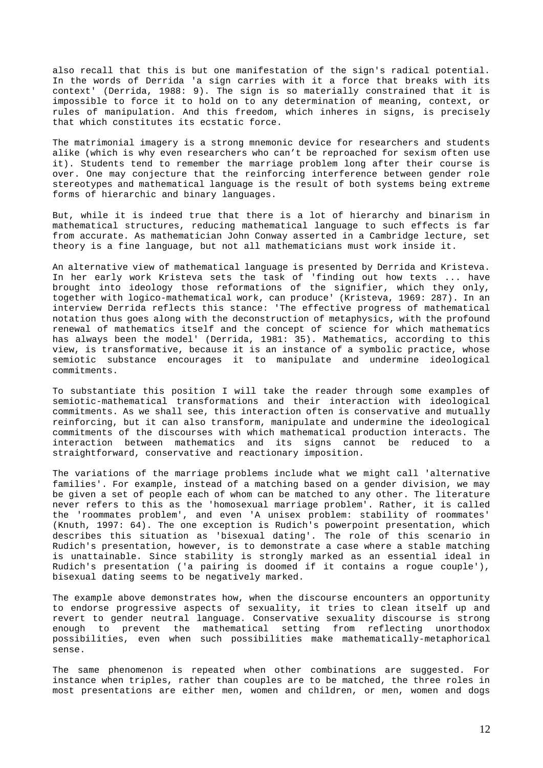also recall that this is but one manifestation of the sign's radical potential. In the words of Derrida 'a sign carries with it a force that breaks with its context' (Derrida, 1988: 9). The sign is so materially constrained that it is impossible to force it to hold on to any determination of meaning, context, or rules of manipulation. And this freedom, which inheres in signs, is precisely that which constitutes its ecstatic force.

The matrimonial imagery is a strong mnemonic device for researchers and students alike (which is why even researchers who can't be reproached for sexism often use it). Students tend to remember the marriage problem long after their course is over. One may conjecture that the reinforcing interference between gender role stereotypes and mathematical language is the result of both systems being extreme forms of hierarchic and binary languages.

But, while it is indeed true that there is a lot of hierarchy and binarism in mathematical structures, reducing mathematical language to such effects is far from accurate. As mathematician John Conway asserted in a Cambridge lecture, set theory is a fine language, but not all mathematicians must work inside it.

An alternative view of mathematical language is presented by Derrida and Kristeva. In her early work Kristeva sets the task of 'finding out how texts ... have brought into ideology those reformations of the signifier, which they only, together with logico-mathematical work, can produce' (Kristeva, 1969: 287). In an interview Derrida reflects this stance: 'The effective progress of mathematical notation thus goes along with the deconstruction of metaphysics, with the profound renewal of mathematics itself and the concept of science for which mathematics has always been the model' (Derrida, 1981: 35). Mathematics, according to this view, is transformative, because it is an instance of a symbolic practice, whose semiotic substance encourages it to manipulate and undermine ideological commitments.

To substantiate this position I will take the reader through some examples of semiotic-mathematical transformations and their interaction with ideological commitments. As we shall see, this interaction often is conservative and mutually reinforcing, but it can also transform, manipulate and undermine the ideological commitments of the discourses with which mathematical production interacts. The interaction between mathematics and its signs cannot be reduced to a straightforward, conservative and reactionary imposition.

The variations of the marriage problems include what we might call 'alternative families'. For example, instead of a matching based on a gender division, we may be given a set of people each of whom can be matched to any other. The literature never refers to this as the 'homosexual marriage problem'. Rather, it is called the 'roommates problem', and even 'A unisex problem: stability of roommates' (Knuth, 1997: 64). The one exception is Rudich's powerpoint presentation, which describes this situation as 'bisexual dating'. The role of this scenario in Rudich's presentation, however, is to demonstrate a case where a stable matching is unattainable. Since stability is strongly marked as an essential ideal in Rudich's presentation ('a pairing is doomed if it contains a rogue couple'), bisexual dating seems to be negatively marked.

The example above demonstrates how, when the discourse encounters an opportunity to endorse progressive aspects of sexuality, it tries to clean itself up and revert to gender neutral language. Conservative sexuality discourse is strong enough to prevent the mathematical setting from reflecting unorthodox possibilities, even when such possibilities make mathematically-metaphorical sense.

The same phenomenon is repeated when other combinations are suggested. For instance when triples, rather than couples are to be matched, the three roles in most presentations are either men, women and children, or men, women and dogs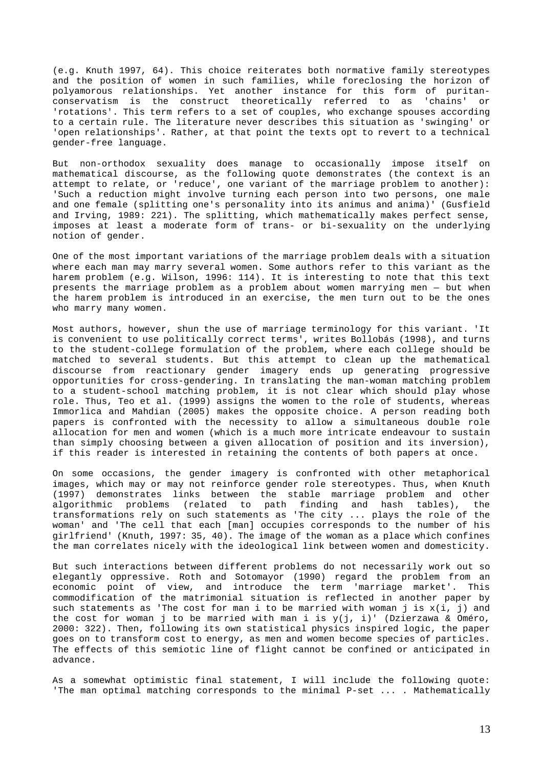(e.g. Knuth 1997, 64). This choice reiterates both normative family stereotypes and the position of women in such families, while foreclosing the horizon of polyamorous relationships. Yet another instance for this form of puritanconservatism is the construct theoretically referred to as 'rotations'. This term refers to a set of couples, who exchange spouses according to a certain rule. The literature never describes this situation as 'swinging' or 'open relationships'. Rather, at that point the texts opt to revert to a technical gender-free language.

But non-orthodox sexuality does manage to occasionally impose itself on mathematical discourse, as the following quote demonstrates (the context is an attempt to relate, or 'reduce', one variant of the marriage problem to another): 'Such a reduction might involve turning each person into two persons, one male and one female (splitting one's personality into its animus and anima)' (Gusfield and Irving, 1989: 221). The splitting, which mathematically makes perfect sense, imposes at least a moderate form of trans- or bi-sexuality on the underlying notion of gender.

One of the most important variations of the marriage problem deals with a situation where each man may marry several women. Some authors refer to this variant as the harem problem (e.g. Wilson, 1996: 114). It is interesting to note that this text presents the marriage problem as a problem about women marrying men — but when the harem problem is introduced in an exercise, the men turn out to be the ones who marry many women.

Most authors, however, shun the use of marriage terminology for this variant. 'It is convenient to use politically correct terms', writes Bollobás (1998), and turns to the student-college formulation of the problem, where each college should be matched to several students. But this attempt to clean up the mathematical discourse from reactionary gender imagery ends up generating progressive opportunities for cross-gendering. In translating the man-woman matching problem to a student-school matching problem, it is not clear which should play whose role. Thus, Teo et al. (1999) assigns the women to the role of students, whereas Immorlica and Mahdian (2005) makes the opposite choice. A person reading both papers is confronted with the necessity to allow a simultaneous double role allocation for men and women (which is a much more intricate endeavour to sustain than simply choosing between a given allocation of position and its inversion), if this reader is interested in retaining the contents of both papers at once.

On some occasions, the gender imagery is confronted with other metaphorical images, which may or may not reinforce gender role stereotypes. Thus, when Knuth (1997) demonstrates links between the stable marriage problem and other algorithmic problems (related to path finding and hash tables), the transformations rely on such statements as 'The city ... plays the role of the woman' and 'The cell that each [man] occupies corresponds to the number of his girlfriend' (Knuth, 1997: 35, 40). The image of the woman as a place which confines the man correlates nicely with the ideological link between women and domesticity.

But such interactions between different problems do not necessarily work out so elegantly oppressive. Roth and Sotomayor (1990) regard the problem from an economic point of view, and introduce the term 'marriage market'. This commodification of the matrimonial situation is reflected in another paper by such statements as 'The cost for man i to be married with woman j is  $x(i, j)$  and the cost for woman j to be married with man i is  $y(j, i)'$  (Dzierzawa & Oméro, 2000: 322). Then, following its own statistical physics inspired logic, the paper goes on to transform cost to energy, as men and women become species of particles. The effects of this semiotic line of flight cannot be confined or anticipated in advance.

As a somewhat optimistic final statement, I will include the following quote: 'The man optimal matching corresponds to the minimal P-set ... . Mathematically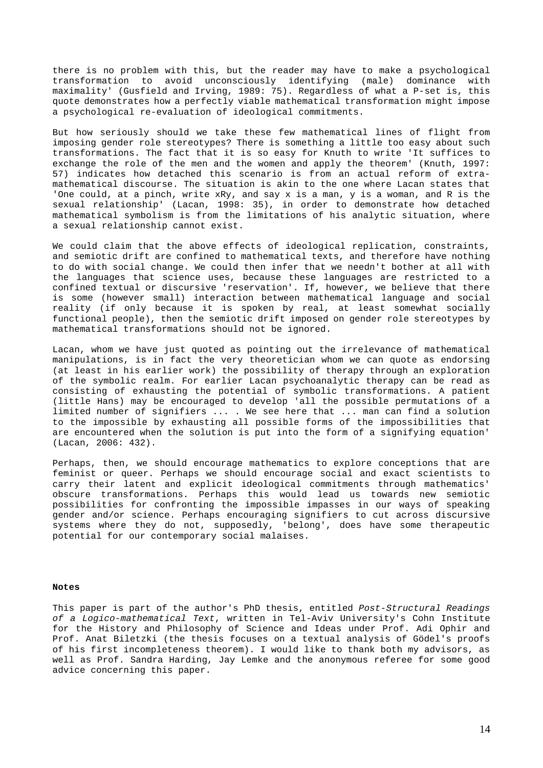there is no problem with this, but the reader may have to make a psychological transformation to avoid unconsciously identifying (male) dominance with maximality' (Gusfield and Irving, 1989: 75). Regardless of what a P-set is, this quote demonstrates how a perfectly viable mathematical transformation might impose a psychological re-evaluation of ideological commitments.

But how seriously should we take these few mathematical lines of flight from imposing gender role stereotypes? There is something a little too easy about such transformations. The fact that it is so easy for Knuth to write 'It suffices to exchange the role of the men and the women and apply the theorem' (Knuth, 1997: 57) indicates how detached this scenario is from an actual reform of extramathematical discourse. The situation is akin to the one where Lacan states that 'One could, at a pinch, write xRy, and say x is a man, y is a woman, and R is the sexual relationship' (Lacan, 1998: 35), in order to demonstrate how detached mathematical symbolism is from the limitations of his analytic situation, where a sexual relationship cannot exist.

We could claim that the above effects of ideological replication, constraints, and semiotic drift are confined to mathematical texts, and therefore have nothing to do with social change. We could then infer that we needn't bother at all with the languages that science uses, because these languages are restricted to a confined textual or discursive 'reservation'. If, however, we believe that there is some (however small) interaction between mathematical language and social reality (if only because it is spoken by real, at least somewhat socially functional people), then the semiotic drift imposed on gender role stereotypes by mathematical transformations should not be ignored.

Lacan, whom we have just quoted as pointing out the irrelevance of mathematical manipulations, is in fact the very theoretician whom we can quote as endorsing (at least in his earlier work) the possibility of therapy through an exploration of the symbolic realm. For earlier Lacan psychoanalytic therapy can be read as consisting of exhausting the potential of symbolic transformations. A patient (little Hans) may be encouraged to develop 'all the possible permutations of a limited number of signifiers ... . We see here that ... man can find a solution to the impossible by exhausting all possible forms of the impossibilities that are encountered when the solution is put into the form of a signifying equation' (Lacan, 2006: 432).

Perhaps, then, we should encourage mathematics to explore conceptions that are feminist or queer. Perhaps we should encourage social and exact scientists to carry their latent and explicit ideological commitments through mathematics' obscure transformations. Perhaps this would lead us towards new semiotic possibilities for confronting the impossible impasses in our ways of speaking gender and/or science. Perhaps encouraging signifiers to cut across discursive systems where they do not, supposedly, 'belong', does have some therapeutic potential for our contemporary social malaises.

### **Notes**

This paper is part of the author's PhD thesis, entitled *Post-Structural Readings of a Logico-mathematical Text*, written in Tel-Aviv University's Cohn Institute for the History and Philosophy of Science and Ideas under Prof. Adi Ophir and Prof. Anat Biletzki (the thesis focuses on a textual analysis of Gödel's proofs of his first incompleteness theorem). I would like to thank both my advisors, as well as Prof. Sandra Harding, Jay Lemke and the anonymous referee for some good advice concerning this paper.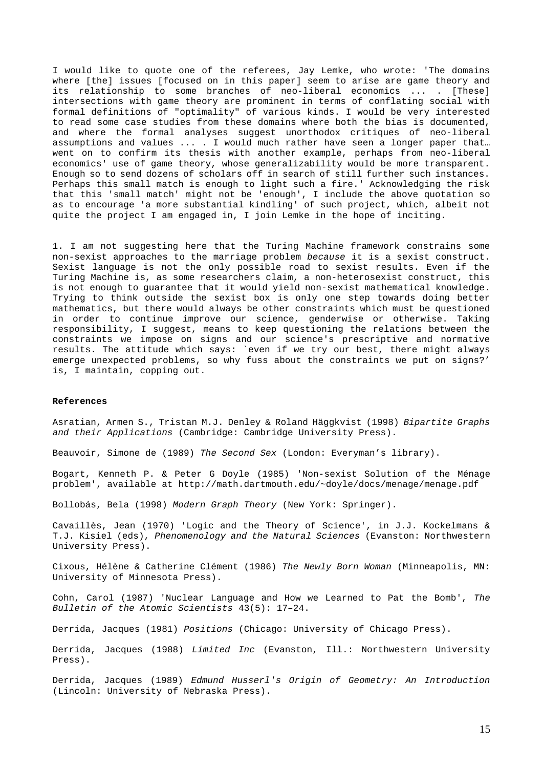I would like to quote one of the referees, Jay Lemke, who wrote: 'The domains where [the] issues [focused on in this paper] seem to arise are game theory and its relationship to some branches of neo-liberal economics ... . [These] intersections with game theory are prominent in terms of conflating social with formal definitions of "optimality" of various kinds. I would be very interested to read some case studies from these domains where both the bias is documented, and where the formal analyses suggest unorthodox critiques of neo-liberal assumptions and values ... . I would much rather have seen a longer paper that… went on to confirm its thesis with another example, perhaps from neo-liberal economics' use of game theory, whose generalizability would be more transparent. Enough so to send dozens of scholars off in search of still further such instances. Perhaps this small match is enough to light such a fire.' Acknowledging the risk that this 'small match' might not be 'enough', I include the above quotation so as to encourage 'a more substantial kindling' of such project, which, albeit not quite the project I am engaged in, I join Lemke in the hope of inciting.

1. I am not suggesting here that the Turing Machine framework constrains some non-sexist approaches to the marriage problem *because* it is a sexist construct. Sexist language is not the only possible road to sexist results. Even if the Turing Machine is, as some researchers claim, a non-heterosexist construct, this is not enough to guarantee that it would yield non-sexist mathematical knowledge. Trying to think outside the sexist box is only one step towards doing better mathematics, but there would always be other constraints which must be questioned in order to continue improve our science, genderwise or otherwise. Taking responsibility, I suggest, means to keep questioning the relations between the constraints we impose on signs and our science's prescriptive and normative results. The attitude which says: `even if we try our best, there might always emerge unexpected problems, so why fuss about the constraints we put on signs?' is, I maintain, copping out.

## **References**

Asratian, Armen S., Tristan M.J. Denley & Roland Häggkvist (1998) *Bipartite Graphs and their Applications* (Cambridge: Cambridge University Press).

Beauvoir, Simone de (1989) *The Second Sex* (London: Everyman's library).

Bogart, Kenneth P. & Peter G Doyle (1985) 'Non-sexist Solution of the Ménage problem', available at http://math.dartmouth.edu/~doyle/docs/menage/menage.pdf

Bollobás, Bela (1998) *Modern Graph Theory* (New York: Springer).

Cavaillès, Jean (1970) 'Logic and the Theory of Science', in J.J. Kockelmans & T.J. Kisiel (eds), *Phenomenology and the Natural Sciences* (Evanston: Northwestern University Press).

Cixous, Hélène & Catherine Clément (1986) *The Newly Born Woman* (Minneapolis, MN: University of Minnesota Press).

Cohn, Carol (1987) 'Nuclear Language and How we Learned to Pat the Bomb', *The Bulletin of the Atomic Scientists* 43(5): 17–24.

Derrida, Jacques (1981) *Positions* (Chicago: University of Chicago Press).

Derrida, Jacques (1988) *Limited Inc* (Evanston, Ill.: Northwestern University Press).

Derrida, Jacques (1989) *Edmund Husserl's Origin of Geometry: An Introduction* (Lincoln: University of Nebraska Press).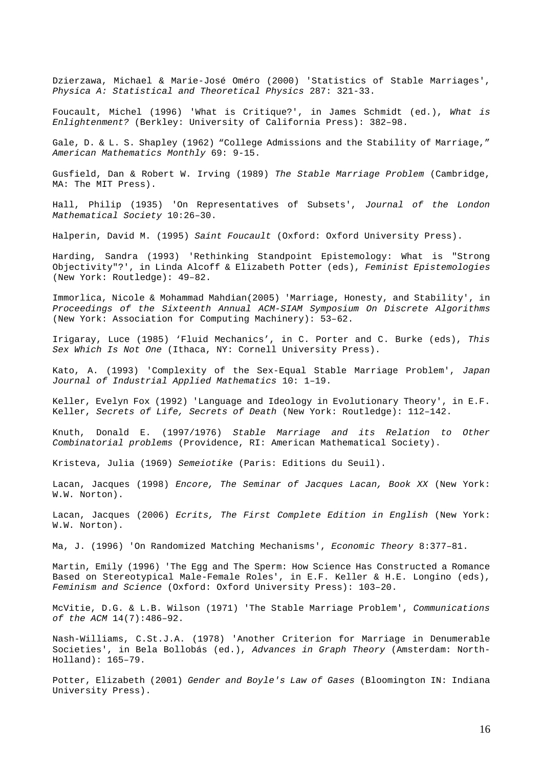Dzierzawa, Michael & Marie-José Oméro (2000) 'Statistics of Stable Marriages', *Physica A: Statistical and Theoretical Physics* 287: 321-33.

Foucault, Michel (1996) 'What is Critique?', in James Schmidt (ed.), *What is Enlightenment?* (Berkley: University of California Press): 382–98.

Gale, D. & L. S. Shapley (1962) "College Admissions and the Stability of Marriage," *American Mathematics Monthly* 69: 9-15.

Gusfield, Dan & Robert W. Irving (1989) *The Stable Marriage Problem* (Cambridge, MA: The MIT Press).

Hall, Philip (1935) 'On Representatives of Subsets', *Journal of the London Mathematical Society* 10:26–30.

Halperin, David M. (1995) *Saint Foucault* (Oxford: Oxford University Press).

Harding, Sandra (1993) 'Rethinking Standpoint Epistemology: What is "Strong Objectivity"?', in Linda Alcoff & Elizabeth Potter (eds), *Feminist Epistemologies* (New York: Routledge): 49–82.

Immorlica, Nicole & Mohammad Mahdian(2005) 'Marriage, Honesty, and Stability', in *Proceedings of the Sixteenth Annual ACM-SIAM Symposium On Discrete Algorithms* (New York: Association for Computing Machinery): 53–62.

Irigaray, Luce (1985) 'Fluid Mechanics', in C. Porter and C. Burke (eds), *This Sex Which Is Not One* (Ithaca, NY: Cornell University Press).

Kato, A. (1993) 'Complexity of the Sex-Equal Stable Marriage Problem', *Japan Journal of Industrial Applied Mathematics* 10: 1–19.

Keller, Evelyn Fox (1992) 'Language and Ideology in Evolutionary Theory', in E.F. Keller, *Secrets of Life, Secrets of Death* (New York: Routledge): 112–142.

Knuth, Donald E. (1997/1976) *Stable Marriage and its Relation to Other Combinatorial problems* (Providence, RI: American Mathematical Society).

Kristeva, Julia (1969) *Semeiotike* (Paris: Editions du Seuil).

Lacan, Jacques (1998) *Encore, The Seminar of Jacques Lacan, Book XX* (New York: W.W. Norton).

Lacan, Jacques (2006) *Ecrits, The First Complete Edition in English* (New York: W.W. Norton).

Ma, J. (1996) 'On Randomized Matching Mechanisms', *Economic Theory* 8:377–81.

Martin, Emily (1996) 'The Egg and The Sperm: How Science Has Constructed a Romance Based on Stereotypical Male-Female Roles', in E.F. Keller & H.E. Longino (eds), *Feminism and Science* (Oxford: Oxford University Press): 103–20.

McVitie, D.G. & L.B. Wilson (1971) 'The Stable Marriage Problem', *Communications of the ACM* 14(7):486–92.

Nash-Williams, C.St.J.A. (1978) 'Another Criterion for Marriage in Denumerable Societies', in Bela Bollobás (ed.), *Advances in Graph Theory* (Amsterdam: North-Holland): 165–79.

Potter, Elizabeth (2001) *Gender and Boyle's Law of Gases* (Bloomington IN: Indiana University Press).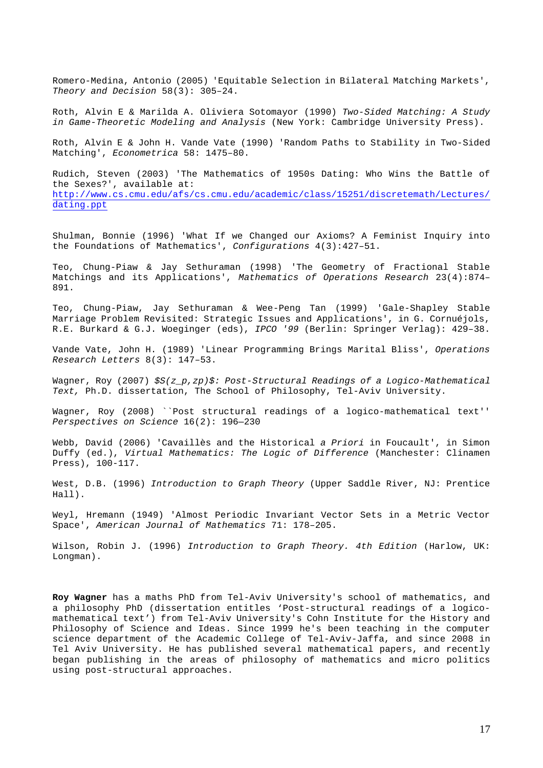Romero-Medina, Antonio (2005) 'Equitable Selection in Bilateral Matching Markets', *Theory and Decision* 58(3): 305–24.

Roth, Alvin E & Marilda A. Oliviera Sotomayor (1990) *Two-Sided Matching: A Study in Game-Theoretic Modeling and Analysis* (New York: Cambridge University Press).

Roth, Alvin E & John H. Vande Vate (1990) 'Random Paths to Stability in Two-Sided Matching', *Econometrica* 58: 1475–80.

Rudich, Steven (2003) 'The Mathematics of 1950s Dating: Who Wins the Battle of the Sexes?', available at: [http://www.cs.cmu.edu/afs/cs.cmu.edu/academic/class/15251/discretemath/Lectures/](http://www.cs.cmu.edu/afs/cs.cmu.edu/academic/class/15251/discretemath/Lectures/dating.ppt) [dating.ppt](http://www.cs.cmu.edu/afs/cs.cmu.edu/academic/class/15251/discretemath/Lectures/dating.ppt)

Shulman, Bonnie (1996) 'What If we Changed our Axioms? A Feminist Inquiry into the Foundations of Mathematics', *Configurations* 4(3):427–51.

Teo, Chung-Piaw & Jay Sethuraman (1998) 'The Geometry of Fractional Stable Matchings and its Applications', *Mathematics of Operations Research* 23(4):874– 891.

Teo, Chung-Piaw, Jay Sethuraman & Wee-Peng Tan (1999) 'Gale-Shapley Stable Marriage Problem Revisited: Strategic Issues and Applications', in G. Cornuéjols, R.E. Burkard & G.J. Woeginger (eds), *IPCO '99* (Berlin: Springer Verlag): 429–38.

Vande Vate, John H. (1989) 'Linear Programming Brings Marital Bliss', *Operations Research Letters* 8(3): 147–53.

Wagner, Roy (2007) *\$S(z\_p,zp)\$: Post-Structural Readings of a Logico-Mathematical Text,* Ph.D. dissertation, The School of Philosophy, Tel-Aviv University.

Wagner, Roy (2008) ``Post structural readings of a logico-mathematical text'' *Perspectives on Science* 16(2): 196—230

Webb, David (2006) 'Cavaillès and the Historical *a Priori* in Foucault', in Simon Duffy (ed.), *Virtual Mathematics: The Logic of Difference* (Manchester: Clinamen Press), 100-117.

West, D.B. (1996) *Introduction to Graph Theory* (Upper Saddle River, NJ: Prentice Hall).

Weyl, Hremann (1949) 'Almost Periodic Invariant Vector Sets in a Metric Vector Space', *American Journal of Mathematics* 71: 178–205.

Wilson, Robin J. (1996) *Introduction to Graph Theory. 4th Edition* (Harlow, UK: Longman).

**Roy Wagner** has a maths PhD from Tel-Aviv University's school of mathematics, and a philosophy PhD (dissertation entitles 'Post-structural readings of a logicomathematical text') from Tel-Aviv University's Cohn Institute for the History and Philosophy of Science and Ideas. Since 1999 he's been teaching in the computer science department of the Academic College of Tel-Aviv-Jaffa, and since 2008 in Tel Aviv University. He has published several mathematical papers, and recently began publishing in the areas of philosophy of mathematics and micro politics using post-structural approaches.

17